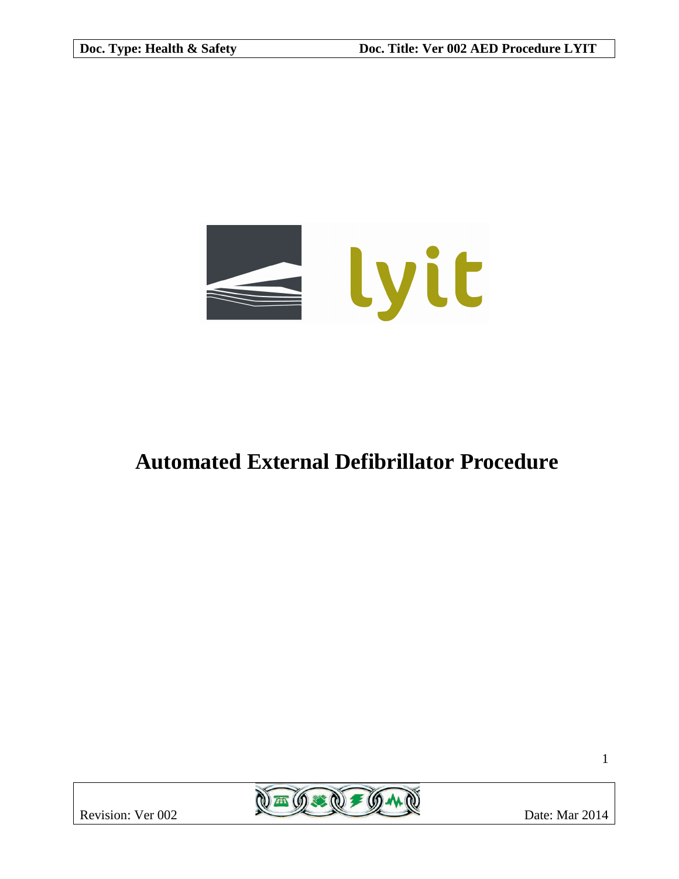

# **Automated External Defibrillator Procedure**

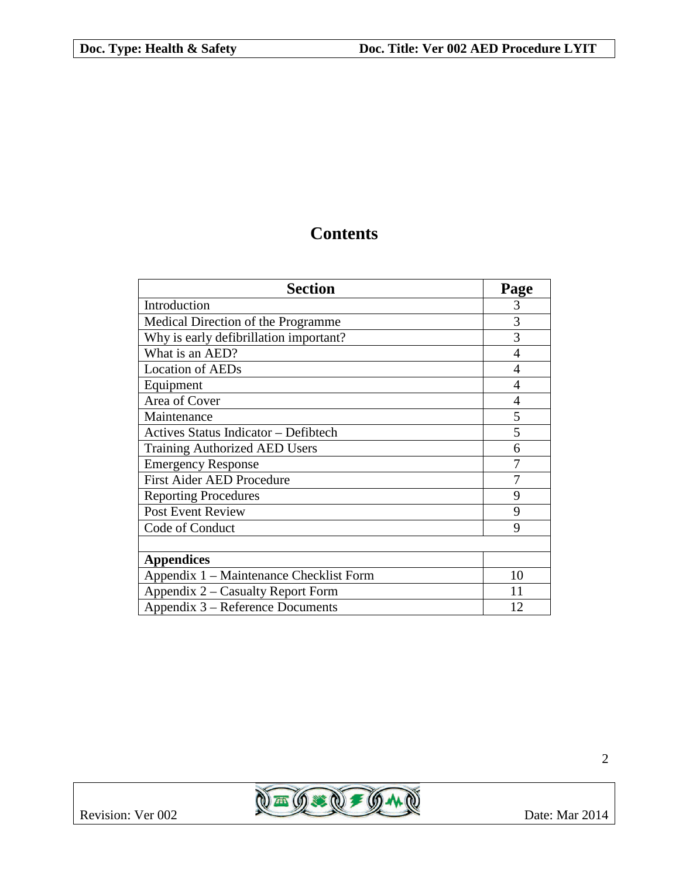## **Contents**

| <b>Section</b>                          | Page |
|-----------------------------------------|------|
| Introduction                            | 3    |
| Medical Direction of the Programme      | 3    |
| Why is early defibrillation important?  | 3    |
| What is an AED?                         | 4    |
| <b>Location of AEDs</b>                 | 4    |
| Equipment                               | 4    |
| Area of Cover                           | 4    |
| Maintenance                             | 5    |
| Actives Status Indicator - Defibtech    | 5    |
| <b>Training Authorized AED Users</b>    | 6    |
| <b>Emergency Response</b>               |      |
| <b>First Aider AED Procedure</b>        | 7    |
| <b>Reporting Procedures</b>             | 9    |
| <b>Post Event Review</b>                | 9    |
| Code of Conduct                         | 9    |
|                                         |      |
| <b>Appendices</b>                       |      |
| Appendix 1 – Maintenance Checklist Form | 10   |
| Appendix 2 – Casualty Report Form       | 11   |
| Appendix 3 – Reference Documents        | 12   |

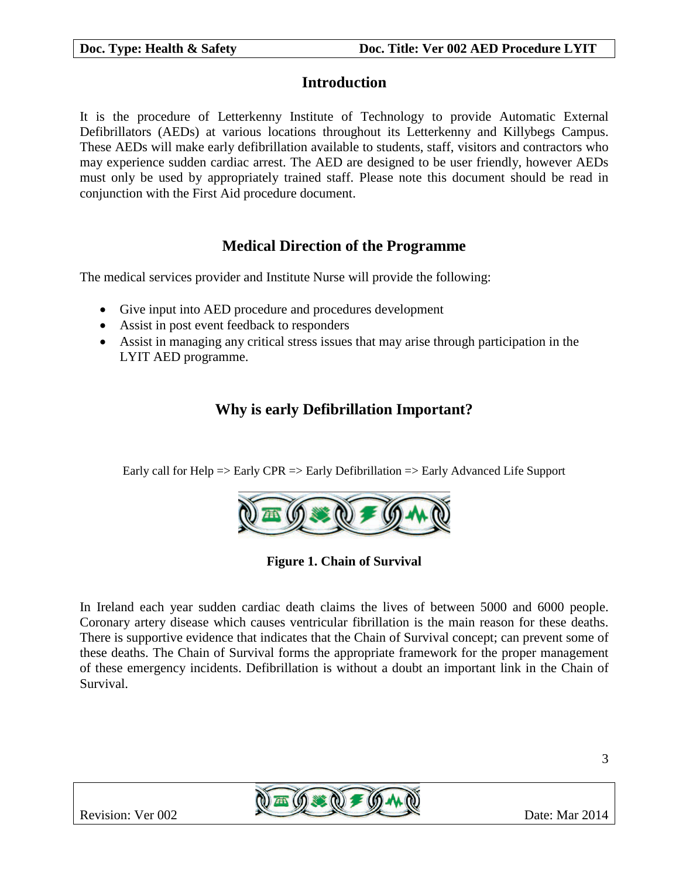## **Introduction**

It is the procedure of Letterkenny Institute of Technology to provide Automatic External Defibrillators (AEDs) at various locations throughout its Letterkenny and Killybegs Campus. These AEDs will make early defibrillation available to students, staff, visitors and contractors who may experience sudden cardiac arrest. The AED are designed to be user friendly, however AEDs must only be used by appropriately trained staff. Please note this document should be read in conjunction with the First Aid procedure document.

## **Medical Direction of the Programme**

The medical services provider and Institute Nurse will provide the following:

- Give input into AED procedure and procedures development
- Assist in post event feedback to responders
- Assist in managing any critical stress issues that may arise through participation in the LYIT AED programme.

## **Why is early Defibrillation Important?**

Early call for Help => Early CPR => Early Defibrillation => Early Advanced Life Support



**Figure 1. Chain of Survival**

In Ireland each year sudden cardiac death claims the lives of between 5000 and 6000 people. Coronary artery disease which causes ventricular fibrillation is the main reason for these deaths. There is supportive evidence that indicates that the Chain of Survival concept; can prevent some of these deaths. The Chain of Survival forms the appropriate framework for the proper management of these emergency incidents. Defibrillation is without a doubt an important link in the Chain of Survival.

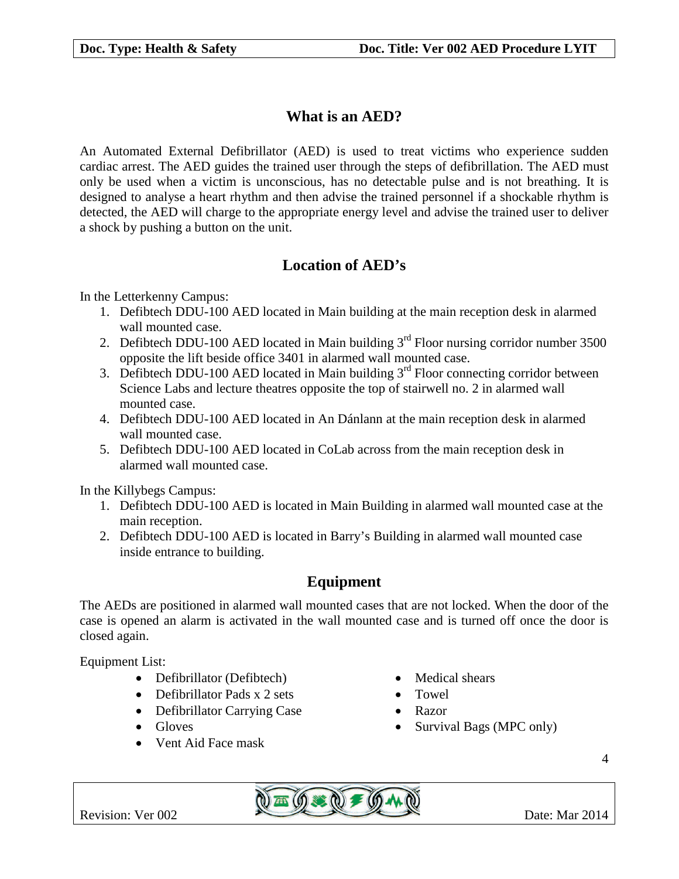## **What is an AED?**

An Automated External Defibrillator (AED) is used to treat victims who experience sudden cardiac arrest. The AED guides the trained user through the steps of defibrillation. The AED must only be used when a victim is unconscious, has no detectable pulse and is not breathing. It is designed to analyse a heart rhythm and then advise the trained personnel if a shockable rhythm is detected, the AED will charge to the appropriate energy level and advise the trained user to deliver a shock by pushing a button on the unit.

## **Location of AED's**

In the Letterkenny Campus:

- 1. Defibtech DDU-100 AED located in Main building at the main reception desk in alarmed wall mounted case.
- 2. Defibtech DDU-100 AED located in Main building  $3<sup>rd</sup>$  Floor nursing corridor number 3500 opposite the lift beside office 3401 in alarmed wall mounted case.
- 3. Defibtech DDU-100 AED located in Main building  $3<sup>rd</sup>$  Floor connecting corridor between Science Labs and lecture theatres opposite the top of stairwell no. 2 in alarmed wall mounted case.
- 4. Defibtech DDU-100 AED located in An Dánlann at the main reception desk in alarmed wall mounted case.
- 5. Defibtech DDU-100 AED located in CoLab across from the main reception desk in alarmed wall mounted case.

In the Killybegs Campus:

- 1. Defibtech DDU-100 AED is located in Main Building in alarmed wall mounted case at the main reception.
- 2. Defibtech DDU-100 AED is located in Barry's Building in alarmed wall mounted case inside entrance to building.

## **Equipment**

The AEDs are positioned in alarmed wall mounted cases that are not locked. When the door of the case is opened an alarm is activated in the wall mounted case and is turned off once the door is closed again.

Equipment List:

- Defibrillator (Defibtech) Medical shears
- Defibrillator Pads x 2 sets Towel
- Defibrillator Carrying Case Razor
- 
- Vent Aid Face mask
- 
- 
- 
- Gloves Survival Bags (MPC only)

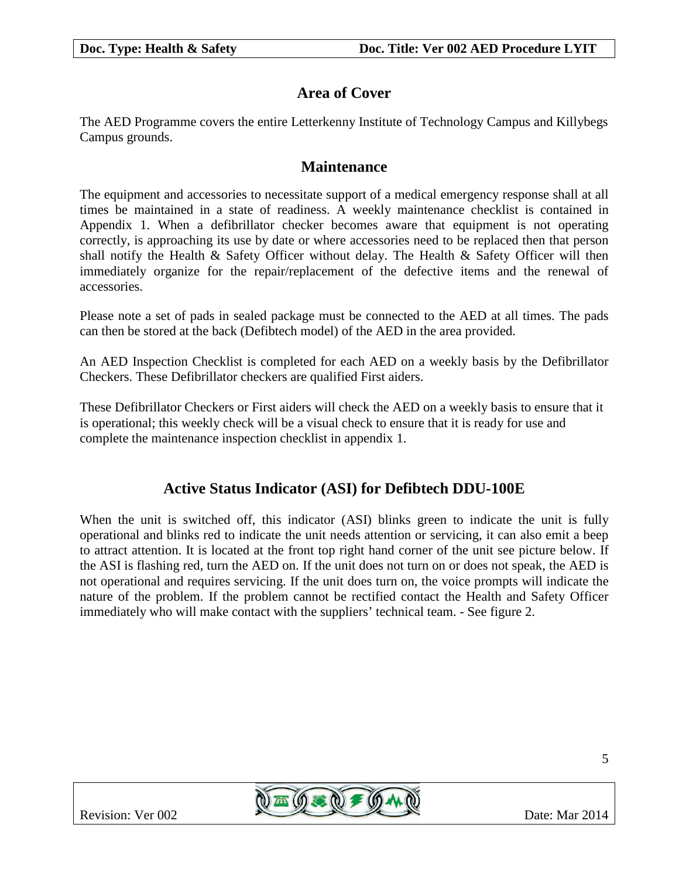## **Area of Cover**

The AED Programme covers the entire Letterkenny Institute of Technology Campus and Killybegs Campus grounds.

## **Maintenance**

The equipment and accessories to necessitate support of a medical emergency response shall at all times be maintained in a state of readiness. A weekly maintenance checklist is contained in Appendix 1. When a defibrillator checker becomes aware that equipment is not operating correctly, is approaching its use by date or where accessories need to be replaced then that person shall notify the Health & Safety Officer without delay. The Health & Safety Officer will then immediately organize for the repair/replacement of the defective items and the renewal of accessories.

Please note a set of pads in sealed package must be connected to the AED at all times. The pads can then be stored at the back (Defibtech model) of the AED in the area provided.

An AED Inspection Checklist is completed for each AED on a weekly basis by the Defibrillator Checkers. These Defibrillator checkers are qualified First aiders.

These Defibrillator Checkers or First aiders will check the AED on a weekly basis to ensure that it is operational; this weekly check will be a visual check to ensure that it is ready for use and complete the maintenance inspection checklist in appendix 1.

## **Active Status Indicator (ASI) for Defibtech DDU-100E**

When the unit is switched off, this indicator (ASI) blinks green to indicate the unit is fully operational and blinks red to indicate the unit needs attention or servicing, it can also emit a beep to attract attention. It is located at the front top right hand corner of the unit see picture below. If the ASI is flashing red, turn the AED on. If the unit does not turn on or does not speak, the AED is not operational and requires servicing. If the unit does turn on, the voice prompts will indicate the nature of the problem. If the problem cannot be rectified contact the Health and Safety Officer immediately who will make contact with the suppliers' technical team. - See figure 2.

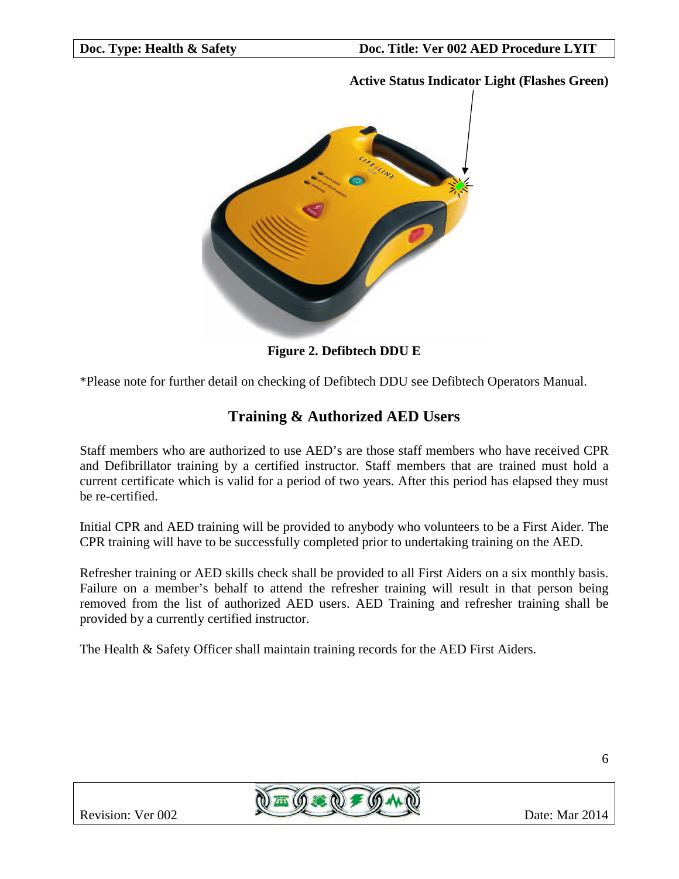#### **Active Status Indicator Light (Flashes Green)**



**Figure 2. Defibtech DDU E**

\*Please note for further detail on checking of Defibtech DDU see Defibtech Operators Manual.

## **Training & Authorized AED Users**

Staff members who are authorized to use AED's are those staff members who have received CPR and Defibrillator training by a certified instructor. Staff members that are trained must hold a current certificate which is valid for a period of two years. After this period has elapsed they must be re-certified.

Initial CPR and AED training will be provided to anybody who volunteers to be a First Aider. The CPR training will have to be successfully completed prior to undertaking training on the AED.

Refresher training or AED skills check shall be provided to all First Aiders on a six monthly basis. Failure on a member's behalf to attend the refresher training will result in that person being removed from the list of authorized AED users. AED Training and refresher training shall be provided by a currently certified instructor.

The Health & Safety Officer shall maintain training records for the AED First Aiders.

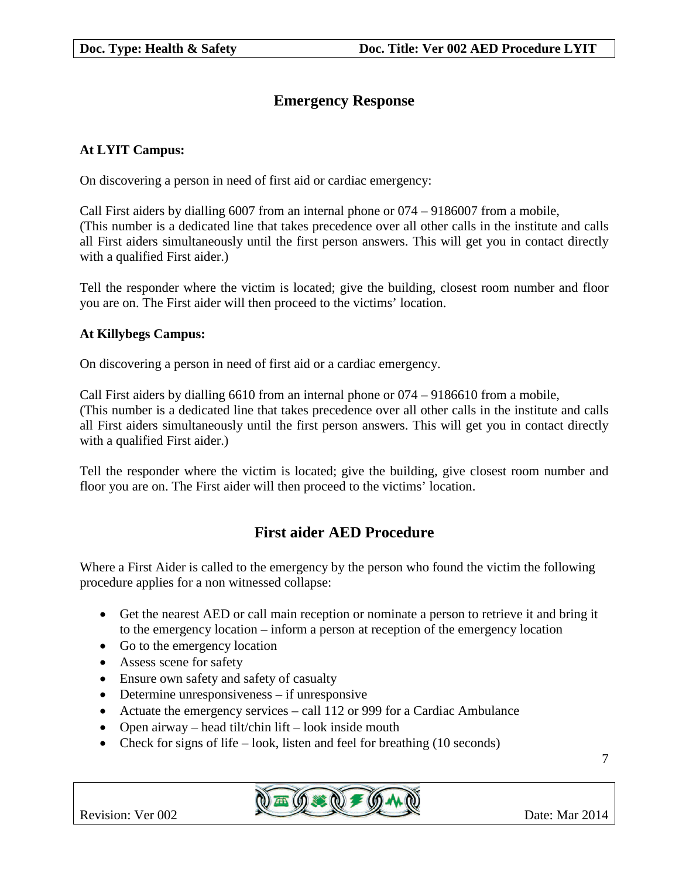## **Emergency Response**

#### **At LYIT Campus:**

On discovering a person in need of first aid or cardiac emergency:

Call First aiders by dialling 6007 from an internal phone or 074 – 9186007 from a mobile, (This number is a dedicated line that takes precedence over all other calls in the institute and calls all First aiders simultaneously until the first person answers. This will get you in contact directly with a qualified First aider.)

Tell the responder where the victim is located; give the building, closest room number and floor you are on. The First aider will then proceed to the victims' location.

#### **At Killybegs Campus:**

On discovering a person in need of first aid or a cardiac emergency.

Call First aiders by dialling 6610 from an internal phone or 074 – 9186610 from a mobile, (This number is a dedicated line that takes precedence over all other calls in the institute and calls all First aiders simultaneously until the first person answers. This will get you in contact directly with a qualified First aider.)

Tell the responder where the victim is located; give the building, give closest room number and floor you are on. The First aider will then proceed to the victims' location.

## **First aider AED Procedure**

Where a First Aider is called to the emergency by the person who found the victim the following procedure applies for a non witnessed collapse:

- Get the nearest AED or call main reception or nominate a person to retrieve it and bring it to the emergency location – inform a person at reception of the emergency location
- Go to the emergency location
- Assess scene for safety
- Ensure own safety and safety of casualty
- Determine unresponsiveness if unresponsive
- Actuate the emergency services call 112 or 999 for a Cardiac Ambulance
- Open airway head tilt/chin lift look inside mouth
- Check for signs of life look, listen and feel for breathing  $(10$  seconds)



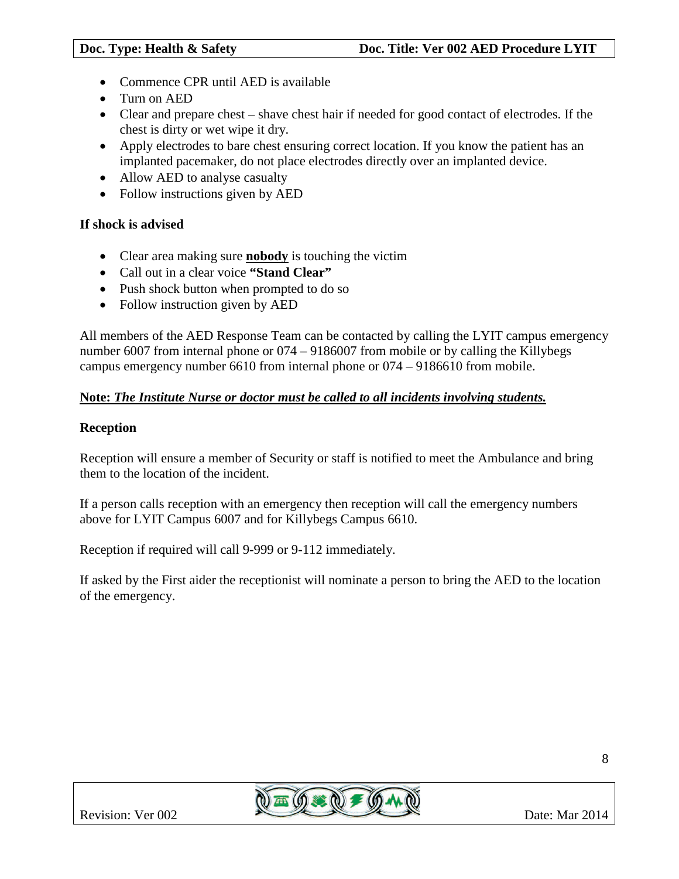- Commence CPR until AED is available
- Turn on AED
- Clear and prepare chest shave chest hair if needed for good contact of electrodes. If the chest is dirty or wet wipe it dry.
- Apply electrodes to bare chest ensuring correct location. If you know the patient has an implanted pacemaker, do not place electrodes directly over an implanted device.
- Allow AED to analyse casualty
- Follow instructions given by AED

#### **If shock is advised**

- Clear area making sure **nobody** is touching the victim
- Call out in a clear voice **"Stand Clear"**
- Push shock button when prompted to do so
- Follow instruction given by AED

All members of the AED Response Team can be contacted by calling the LYIT campus emergency number 6007 from internal phone or 074 – 9186007 from mobile or by calling the Killybegs campus emergency number 6610 from internal phone or 074 – 9186610 from mobile.

#### **Note:** *The Institute Nurse or doctor must be called to all incidents involving students.*

#### **Reception**

Reception will ensure a member of Security or staff is notified to meet the Ambulance and bring them to the location of the incident.

If a person calls reception with an emergency then reception will call the emergency numbers above for LYIT Campus 6007 and for Killybegs Campus 6610.

Reception if required will call 9-999 or 9-112 immediately.

If asked by the First aider the receptionist will nominate a person to bring the AED to the location of the emergency.

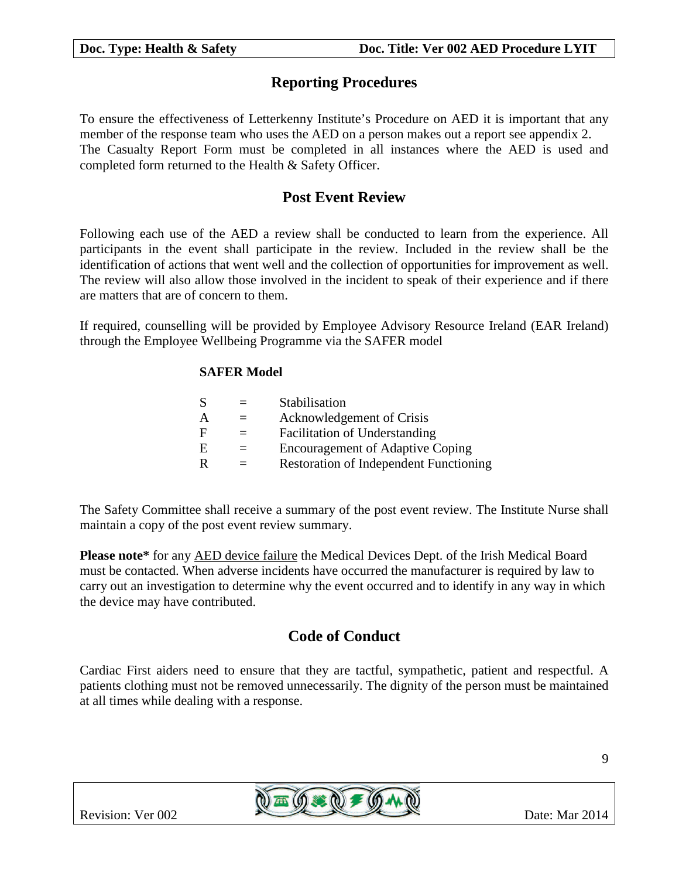## **Reporting Procedures**

To ensure the effectiveness of Letterkenny Institute's Procedure on AED it is important that any member of the response team who uses the AED on a person makes out a report see appendix 2. The Casualty Report Form must be completed in all instances where the AED is used and completed form returned to the Health & Safety Officer.

## **Post Event Review**

Following each use of the AED a review shall be conducted to learn from the experience. All participants in the event shall participate in the review. Included in the review shall be the identification of actions that went well and the collection of opportunities for improvement as well. The review will also allow those involved in the incident to speak of their experience and if there are matters that are of concern to them.

If required, counselling will be provided by Employee Advisory Resource Ireland (EAR Ireland) through the Employee Wellbeing Programme via the SAFER model

#### **SAFER Model**

| Stabilisation                                 |
|-----------------------------------------------|
| Acknowledgement of Crisis                     |
| <b>Facilitation of Understanding</b>          |
| <b>Encouragement of Adaptive Coping</b>       |
| <b>Restoration of Independent Functioning</b> |
|                                               |

The Safety Committee shall receive a summary of the post event review. The Institute Nurse shall maintain a copy of the post event review summary.

**Please note\*** for any AED device failure the Medical Devices Dept. of the Irish Medical Board must be contacted. When adverse incidents have occurred the manufacturer is required by law to carry out an investigation to determine why the event occurred and to identify in any way in which the device may have contributed.

## **Code of Conduct**

Cardiac First aiders need to ensure that they are tactful, sympathetic, patient and respectful. A patients clothing must not be removed unnecessarily. The dignity of the person must be maintained at all times while dealing with a response.

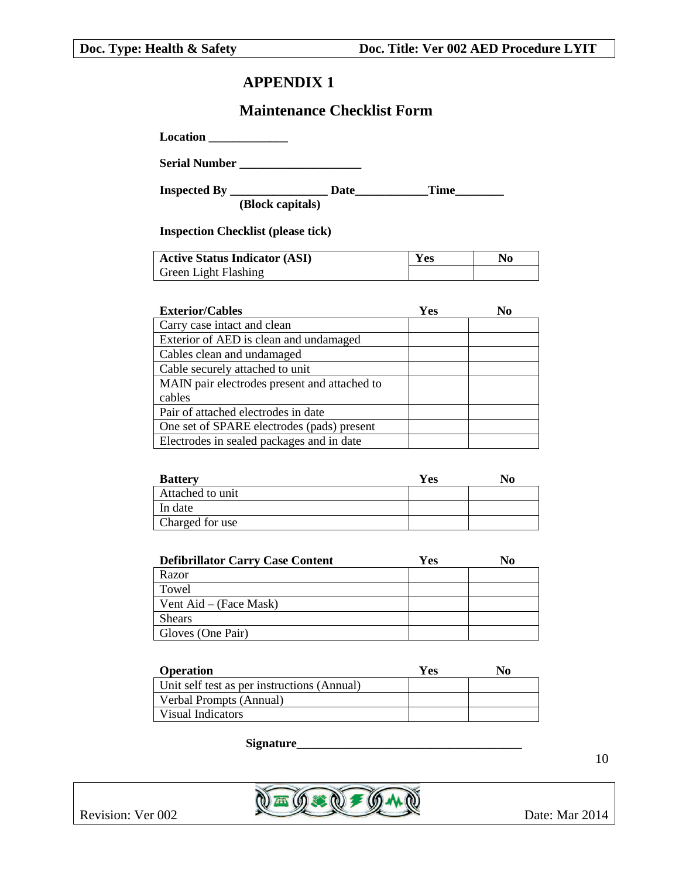## **APPENDIX 1**

### **Maintenance Checklist Form**

**Location \_\_\_\_\_\_\_\_\_\_\_\_\_**

**Serial Number \_\_\_\_\_\_\_\_\_\_\_\_\_\_\_\_\_\_\_\_**

**Inspected By \_\_\_\_\_\_\_\_\_\_\_\_\_\_\_\_ Date\_\_\_\_\_\_\_\_\_\_\_\_Time\_\_\_\_\_\_\_\_**

**(Block capitals)**

**Inspection Checklist (please tick)**

| <b>Active Status Indicator (ASI)</b> | Yes | No |
|--------------------------------------|-----|----|
| <b>Green Light Flashing</b>          |     |    |

| <b>Exterior/Cables</b>                       | Yes | No |
|----------------------------------------------|-----|----|
| Carry case intact and clean                  |     |    |
| Exterior of AED is clean and undamaged       |     |    |
| Cables clean and undamaged                   |     |    |
| Cable securely attached to unit              |     |    |
| MAIN pair electrodes present and attached to |     |    |
| cables                                       |     |    |
| Pair of attached electrodes in date          |     |    |
| One set of SPARE electrodes (pads) present   |     |    |
| Electrodes in sealed packages and in date    |     |    |

| <b>Battery</b>   | Yes | No. |
|------------------|-----|-----|
| Attached to unit |     |     |
| In date          |     |     |
| Charged for use  |     |     |

| <b>Defibrillator Carry Case Content</b> | Yes | No |
|-----------------------------------------|-----|----|
| Razor                                   |     |    |
| Towel                                   |     |    |
| Vent Aid – (Face Mask)                  |     |    |
| <b>Shears</b>                           |     |    |
| Gloves (One Pair)                       |     |    |

| <b>Operation</b>                            | Yes | No. |
|---------------------------------------------|-----|-----|
| Unit self test as per instructions (Annual) |     |     |
| Verbal Prompts (Annual)                     |     |     |
| Visual Indicators                           |     |     |

**Signature\_\_\_\_\_\_\_\_\_\_\_\_\_\_\_\_\_\_\_\_\_\_\_\_\_\_\_\_\_\_\_\_\_\_\_\_\_**



10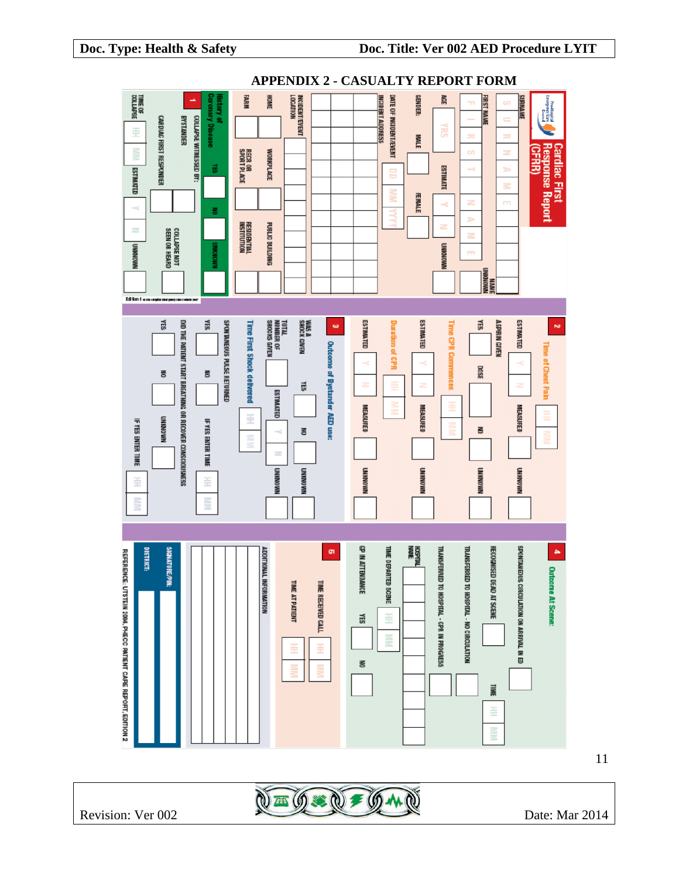

11

Revision: Ver 002  $\sqrt{2\pi}$   $\sqrt{3\pi}$   $\sqrt{4\pi}$   $\sqrt{4\pi}$  Date: Mar 2014